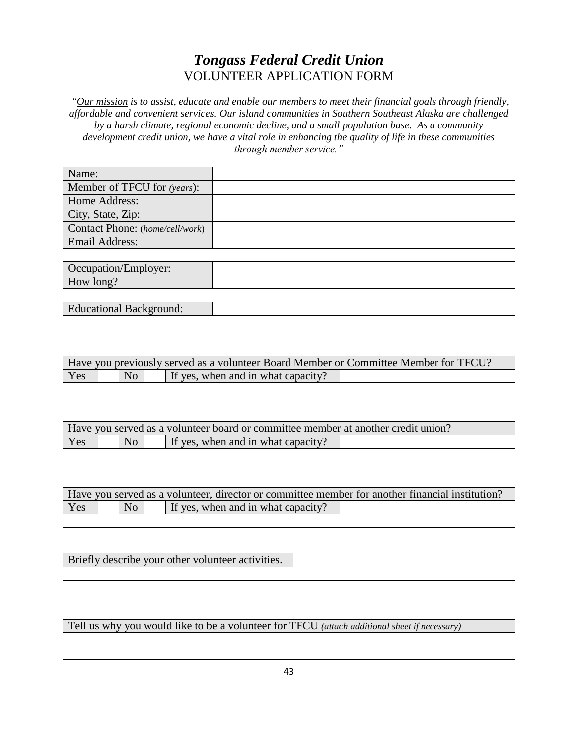## *Tongass Federal Credit Union* VOLUNTEER APPLICATION FORM

*"Our mission is to assist, educate and enable our members to meet their financial goals through friendly, affordable and convenient services. Our island communities in Southern Southeast Alaska are challenged by a harsh climate, regional economic decline, and a small population base. As a community development credit union, we have a vital role in enhancing the quality of life in these communities through member service."*

| Name:                           |  |
|---------------------------------|--|
| Member of TFCU for (years):     |  |
| Home Address:                   |  |
| City, State, Zip:               |  |
| Contact Phone: (home/cell/work) |  |
| <b>Email Address:</b>           |  |

| 277244<br>h<br>$\cdot$ vci.<br>$\sim$ cupanna<br>ப்ப |  |
|------------------------------------------------------|--|
| $ -$<br>$\sim$ m $\sim$<br>How<br>10112              |  |

| $\overline{\phantom{a}}$<br>Dackground.<br>лапонаг |  |
|----------------------------------------------------|--|
|                                                    |  |

| Have you previously served as a volunteer Board Member or Committee Member for TFCU? |  |                |  |                                    |  |
|--------------------------------------------------------------------------------------|--|----------------|--|------------------------------------|--|
| Yes                                                                                  |  | N <sub>o</sub> |  | If yes, when and in what capacity? |  |

| Have you served as a volunteer board or committee member at another credit union? |    |  |                                    |  |
|-----------------------------------------------------------------------------------|----|--|------------------------------------|--|
| <b>Yes</b>                                                                        | No |  | If yes, when and in what capacity? |  |
|                                                                                   |    |  |                                    |  |

|     | Have you served as a volunteer, director or committee member for another financial institution? |  |                                    |  |
|-----|-------------------------------------------------------------------------------------------------|--|------------------------------------|--|
| Yes | No                                                                                              |  | If yes, when and in what capacity? |  |
|     |                                                                                                 |  |                                    |  |

| Briefly describe your other volunteer activities. |  |
|---------------------------------------------------|--|
|                                                   |  |
|                                                   |  |

Tell us why you would like to be a volunteer for TFCU *(attach additional sheet if necessary)*